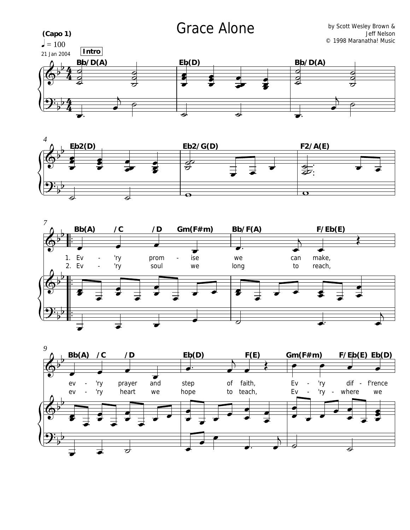





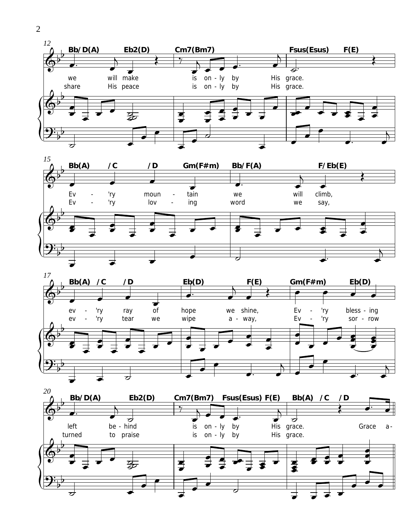







2